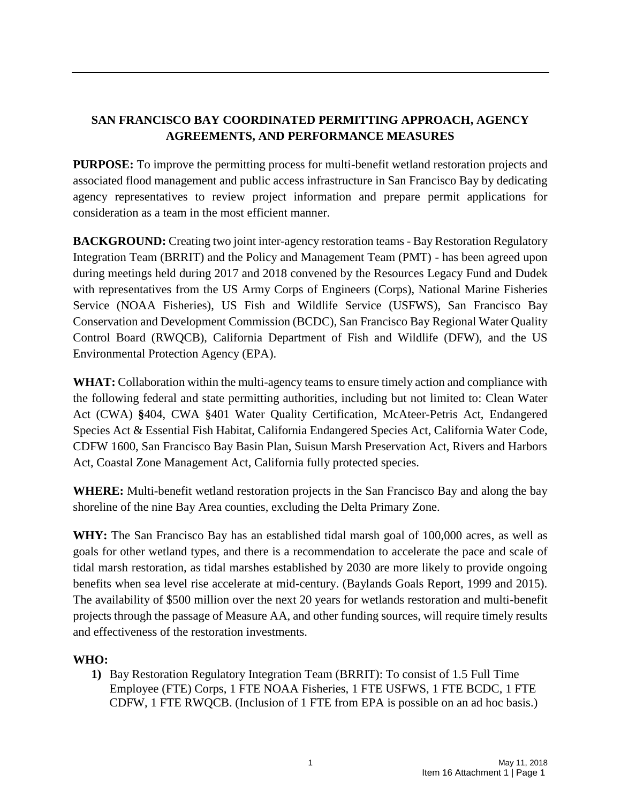# **SAN FRANCISCO BAY COORDINATED PERMITTING APPROACH, AGENCY AGREEMENTS, AND PERFORMANCE MEASURES**

**PURPOSE:** To improve the permitting process for multi-benefit wetland restoration projects and associated flood management and public access infrastructure in San Francisco Bay by dedicating agency representatives to review project information and prepare permit applications for consideration as a team in the most efficient manner.

**BACKGROUND:** Creating two joint inter-agency restoration teams - Bay Restoration Regulatory Integration Team (BRRIT) and the Policy and Management Team (PMT) - has been agreed upon during meetings held during 2017 and 2018 convened by the Resources Legacy Fund and Dudek with representatives from the US Army Corps of Engineers (Corps), National Marine Fisheries Service (NOAA Fisheries), US Fish and Wildlife Service (USFWS), San Francisco Bay Conservation and Development Commission (BCDC), San Francisco Bay Regional Water Quality Control Board (RWQCB), California Department of Fish and Wildlife (DFW), and the US Environmental Protection Agency (EPA).

**WHAT:** Collaboration within the multi-agency teams to ensure timely action and compliance with the following federal and state permitting authorities, including but not limited to: Clean Water Act (CWA) **§**404, CWA §401 Water Quality Certification, McAteer-Petris Act, Endangered Species Act & Essential Fish Habitat, California Endangered Species Act, California Water Code, CDFW 1600, San Francisco Bay Basin Plan, Suisun Marsh Preservation Act, Rivers and Harbors Act, Coastal Zone Management Act, California fully protected species.

**WHERE:** Multi-benefit wetland restoration projects in the San Francisco Bay and along the bay shoreline of the nine Bay Area counties, excluding the Delta Primary Zone.

WHY: The San Francisco Bay has an established tidal marsh goal of 100,000 acres, as well as goals for other wetland types, and there is a recommendation to accelerate the pace and scale of tidal marsh restoration, as tidal marshes established by 2030 are more likely to provide ongoing benefits when sea level rise accelerate at mid-century. (Baylands Goals Report, 1999 and 2015). The availability of \$500 million over the next 20 years for wetlands restoration and multi-benefit projects through the passage of Measure AA, and other funding sources, will require timely results and effectiveness of the restoration investments.

# **WHO:**

**1)** Bay Restoration Regulatory Integration Team (BRRIT): To consist of 1.5 Full Time Employee (FTE) Corps, 1 FTE NOAA Fisheries, 1 FTE USFWS, 1 FTE BCDC, 1 FTE CDFW, 1 FTE RWQCB. (Inclusion of 1 FTE from EPA is possible on an ad hoc basis.)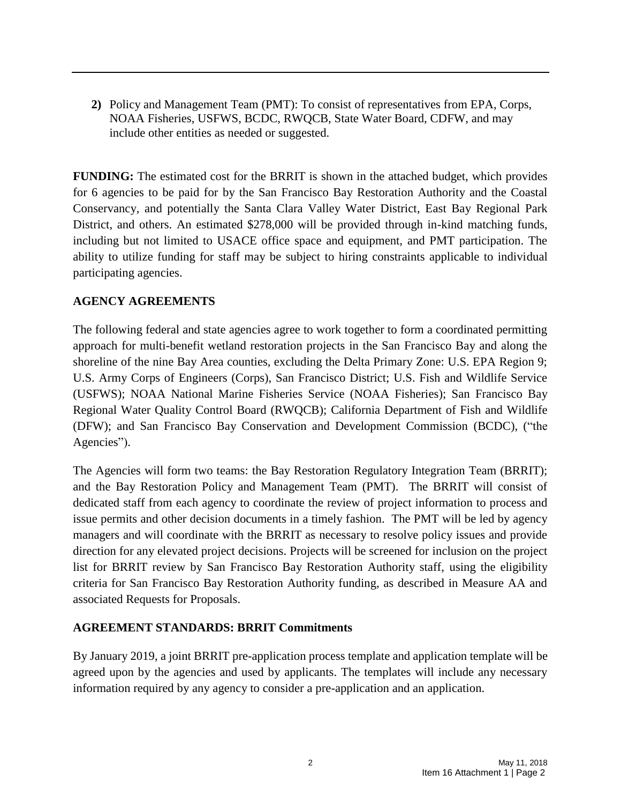**2)** Policy and Management Team (PMT): To consist of representatives from EPA, Corps, NOAA Fisheries, USFWS, BCDC, RWQCB, State Water Board, CDFW, and may include other entities as needed or suggested.

**FUNDING:** The estimated cost for the BRRIT is shown in the attached budget, which provides for 6 agencies to be paid for by the San Francisco Bay Restoration Authority and the Coastal Conservancy, and potentially the Santa Clara Valley Water District, East Bay Regional Park District, and others. An estimated \$278,000 will be provided through in-kind matching funds, including but not limited to USACE office space and equipment, and PMT participation. The ability to utilize funding for staff may be subject to hiring constraints applicable to individual participating agencies.

## **AGENCY AGREEMENTS**

The following federal and state agencies agree to work together to form a coordinated permitting approach for multi-benefit wetland restoration projects in the San Francisco Bay and along the shoreline of the nine Bay Area counties, excluding the Delta Primary Zone: U.S. EPA Region 9; U.S. Army Corps of Engineers (Corps), San Francisco District; U.S. Fish and Wildlife Service (USFWS); NOAA National Marine Fisheries Service (NOAA Fisheries); San Francisco Bay Regional Water Quality Control Board (RWQCB); California Department of Fish and Wildlife (DFW); and San Francisco Bay Conservation and Development Commission (BCDC), ("the Agencies").

The Agencies will form two teams: the Bay Restoration Regulatory Integration Team (BRRIT); and the Bay Restoration Policy and Management Team (PMT). The BRRIT will consist of dedicated staff from each agency to coordinate the review of project information to process and issue permits and other decision documents in a timely fashion. The PMT will be led by agency managers and will coordinate with the BRRIT as necessary to resolve policy issues and provide direction for any elevated project decisions. Projects will be screened for inclusion on the project list for BRRIT review by San Francisco Bay Restoration Authority staff, using the eligibility criteria for San Francisco Bay Restoration Authority funding, as described in Measure AA and associated Requests for Proposals.

#### **AGREEMENT STANDARDS: BRRIT Commitments**

By January 2019, a joint BRRIT pre-application process template and application template will be agreed upon by the agencies and used by applicants. The templates will include any necessary information required by any agency to consider a pre-application and an application.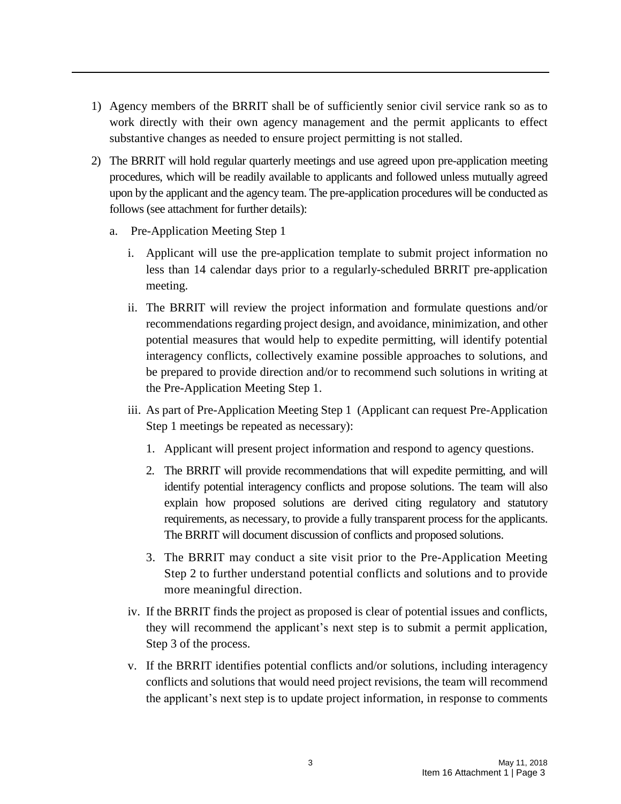- 1) Agency members of the BRRIT shall be of sufficiently senior civil service rank so as to work directly with their own agency management and the permit applicants to effect substantive changes as needed to ensure project permitting is not stalled.
- 2) The BRRIT will hold regular quarterly meetings and use agreed upon pre-application meeting procedures, which will be readily available to applicants and followed unless mutually agreed upon by the applicant and the agency team. The pre-application procedures will be conducted as follows (see attachment for further details):
	- a. Pre-Application Meeting Step 1
		- i. Applicant will use the pre-application template to submit project information no less than 14 calendar days prior to a regularly-scheduled BRRIT pre-application meeting.
		- ii. The BRRIT will review the project information and formulate questions and/or recommendations regarding project design, and avoidance, minimization, and other potential measures that would help to expedite permitting, will identify potential interagency conflicts, collectively examine possible approaches to solutions, and be prepared to provide direction and/or to recommend such solutions in writing at the Pre-Application Meeting Step 1.
		- iii. As part of Pre-Application Meeting Step 1 (Applicant can request Pre-Application Step 1 meetings be repeated as necessary):
			- 1. Applicant will present project information and respond to agency questions.
			- 2. The BRRIT will provide recommendations that will expedite permitting, and will identify potential interagency conflicts and propose solutions. The team will also explain how proposed solutions are derived citing regulatory and statutory requirements, as necessary, to provide a fully transparent process for the applicants. The BRRIT will document discussion of conflicts and proposed solutions.
			- 3. The BRRIT may conduct a site visit prior to the Pre-Application Meeting Step 2 to further understand potential conflicts and solutions and to provide more meaningful direction.
		- iv. If the BRRIT finds the project as proposed is clear of potential issues and conflicts, they will recommend the applicant's next step is to submit a permit application, Step 3 of the process.
		- v. If the BRRIT identifies potential conflicts and/or solutions, including interagency conflicts and solutions that would need project revisions, the team will recommend the applicant's next step is to update project information, in response to comments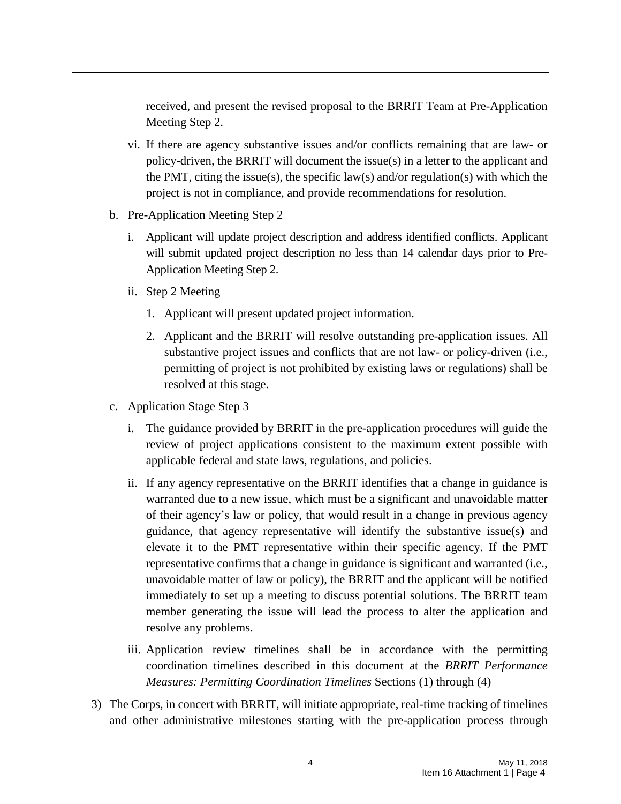received, and present the revised proposal to the BRRIT Team at Pre-Application Meeting Step 2.

- vi. If there are agency substantive issues and/or conflicts remaining that are law- or policy-driven, the BRRIT will document the issue(s) in a letter to the applicant and the PMT, citing the issue(s), the specific law(s) and/or regulation(s) with which the project is not in compliance, and provide recommendations for resolution.
- b. Pre-Application Meeting Step 2
	- i. Applicant will update project description and address identified conflicts. Applicant will submit updated project description no less than 14 calendar days prior to Pre-Application Meeting Step 2.
	- ii. Step 2 Meeting
		- 1. Applicant will present updated project information.
		- 2. Applicant and the BRRIT will resolve outstanding pre-application issues. All substantive project issues and conflicts that are not law- or policy-driven (i.e., permitting of project is not prohibited by existing laws or regulations) shall be resolved at this stage.
- c. Application Stage Step 3
	- i. The guidance provided by BRRIT in the pre-application procedures will guide the review of project applications consistent to the maximum extent possible with applicable federal and state laws, regulations, and policies.
	- ii. If any agency representative on the BRRIT identifies that a change in guidance is warranted due to a new issue, which must be a significant and unavoidable matter of their agency's law or policy, that would result in a change in previous agency guidance, that agency representative will identify the substantive issue(s) and elevate it to the PMT representative within their specific agency. If the PMT representative confirms that a change in guidance is significant and warranted (i.e., unavoidable matter of law or policy), the BRRIT and the applicant will be notified immediately to set up a meeting to discuss potential solutions. The BRRIT team member generating the issue will lead the process to alter the application and resolve any problems.
	- iii. Application review timelines shall be in accordance with the permitting coordination timelines described in this document at the *BRRIT Performance Measures: Permitting Coordination Timelines* Sections (1) through (4)
- 3) The Corps, in concert with BRRIT, will initiate appropriate, real-time tracking of timelines and other administrative milestones starting with the pre-application process through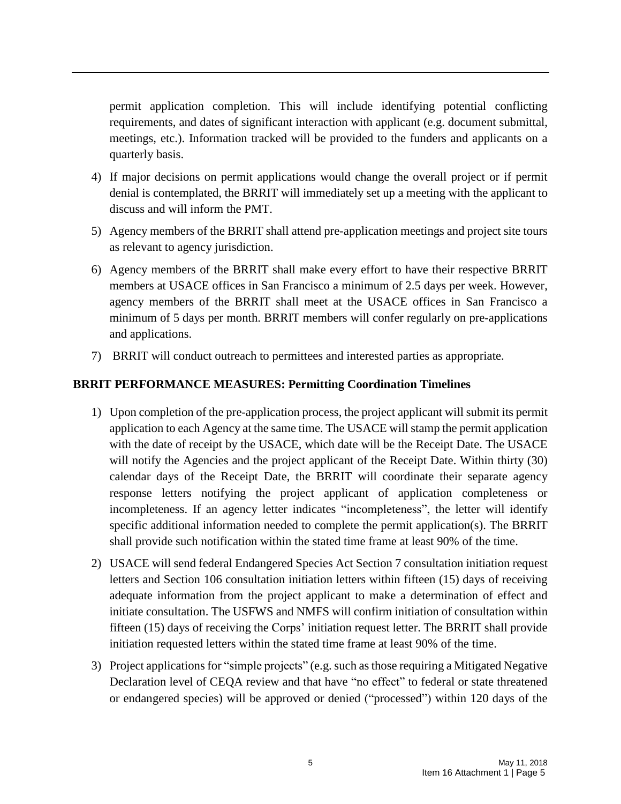permit application completion. This will include identifying potential conflicting requirements, and dates of significant interaction with applicant (e.g. document submittal, meetings, etc.). Information tracked will be provided to the funders and applicants on a quarterly basis.

- 4) If major decisions on permit applications would change the overall project or if permit denial is contemplated, the BRRIT will immediately set up a meeting with the applicant to discuss and will inform the PMT.
- 5) Agency members of the BRRIT shall attend pre-application meetings and project site tours as relevant to agency jurisdiction.
- 6) Agency members of the BRRIT shall make every effort to have their respective BRRIT members at USACE offices in San Francisco a minimum of 2.5 days per week. However, agency members of the BRRIT shall meet at the USACE offices in San Francisco a minimum of 5 days per month. BRRIT members will confer regularly on pre-applications and applications.
- 7) BRRIT will conduct outreach to permittees and interested parties as appropriate.

## **BRRIT PERFORMANCE MEASURES: Permitting Coordination Timelines**

- 1) Upon completion of the pre-application process, the project applicant will submit its permit application to each Agency at the same time. The USACE will stamp the permit application with the date of receipt by the USACE, which date will be the Receipt Date. The USACE will notify the Agencies and the project applicant of the Receipt Date. Within thirty (30) calendar days of the Receipt Date, the BRRIT will coordinate their separate agency response letters notifying the project applicant of application completeness or incompleteness. If an agency letter indicates "incompleteness", the letter will identify specific additional information needed to complete the permit application(s). The BRRIT shall provide such notification within the stated time frame at least 90% of the time.
- 2) USACE will send federal Endangered Species Act Section 7 consultation initiation request letters and Section 106 consultation initiation letters within fifteen (15) days of receiving adequate information from the project applicant to make a determination of effect and initiate consultation. The USFWS and NMFS will confirm initiation of consultation within fifteen (15) days of receiving the Corps' initiation request letter. The BRRIT shall provide initiation requested letters within the stated time frame at least 90% of the time.
- 3) Project applications for "simple projects" (e.g. such asthose requiring a Mitigated Negative Declaration level of CEQA review and that have "no effect" to federal or state threatened or endangered species) will be approved or denied ("processed") within 120 days of the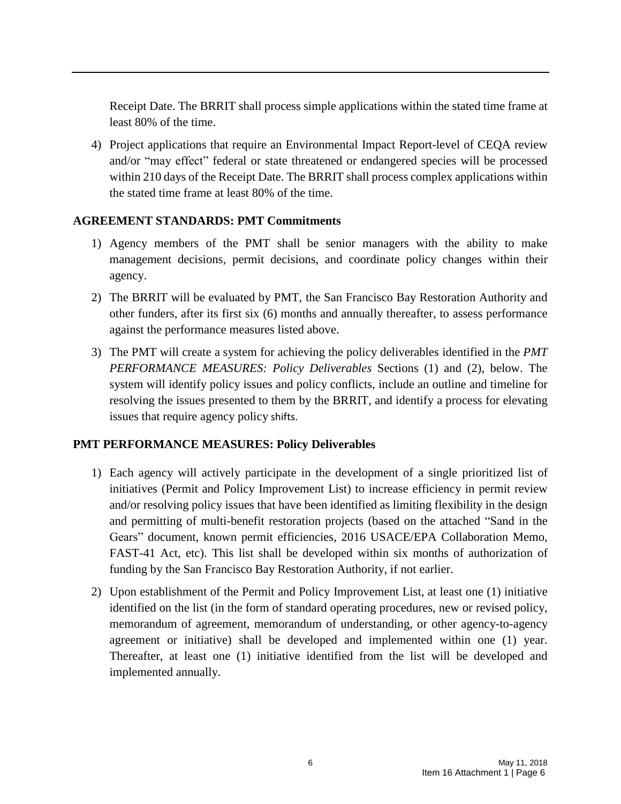Receipt Date. The BRRIT shall process simple applications within the stated time frame at least 80% of the time.

4) Project applications that require an Environmental Impact Report-level of CEQA review and/or "may effect" federal or state threatened or endangered species will be processed within 210 days of the Receipt Date. The BRRIT shall process complex applications within the stated time frame at least 80% of the time.

#### **AGREEMENT STANDARDS: PMT Commitments**

- 1) Agency members of the PMT shall be senior managers with the ability to make management decisions, permit decisions, and coordinate policy changes within their agency.
- 2) The BRRIT will be evaluated by PMT, the San Francisco Bay Restoration Authority and other funders, after its first six (6) months and annually thereafter, to assess performance against the performance measures listed above.
- 3) The PMT will create a system for achieving the policy deliverables identified in the *PMT PERFORMANCE MEASURES: Policy Deliverables* Sections (1) and (2), below. The system will identify policy issues and policy conflicts, include an outline and timeline for resolving the issues presented to them by the BRRIT, and identify a process for elevating issues that require agency policy shifts.

#### **PMT PERFORMANCE MEASURES: Policy Deliverables**

- 1) Each agency will actively participate in the development of a single prioritized list of initiatives (Permit and Policy Improvement List) to increase efficiency in permit review and/or resolving policy issues that have been identified as limiting flexibility in the design and permitting of multi-benefit restoration projects (based on the attached "Sand in the Gears" document, known permit efficiencies, 2016 USACE/EPA Collaboration Memo, FAST-41 Act, etc). This list shall be developed within six months of authorization of funding by the San Francisco Bay Restoration Authority, if not earlier.
- 2) Upon establishment of the Permit and Policy Improvement List, at least one (1) initiative identified on the list (in the form of standard operating procedures, new or revised policy, memorandum of agreement, memorandum of understanding, or other agency-to-agency agreement or initiative) shall be developed and implemented within one (1) year. Thereafter, at least one (1) initiative identified from the list will be developed and implemented annually.